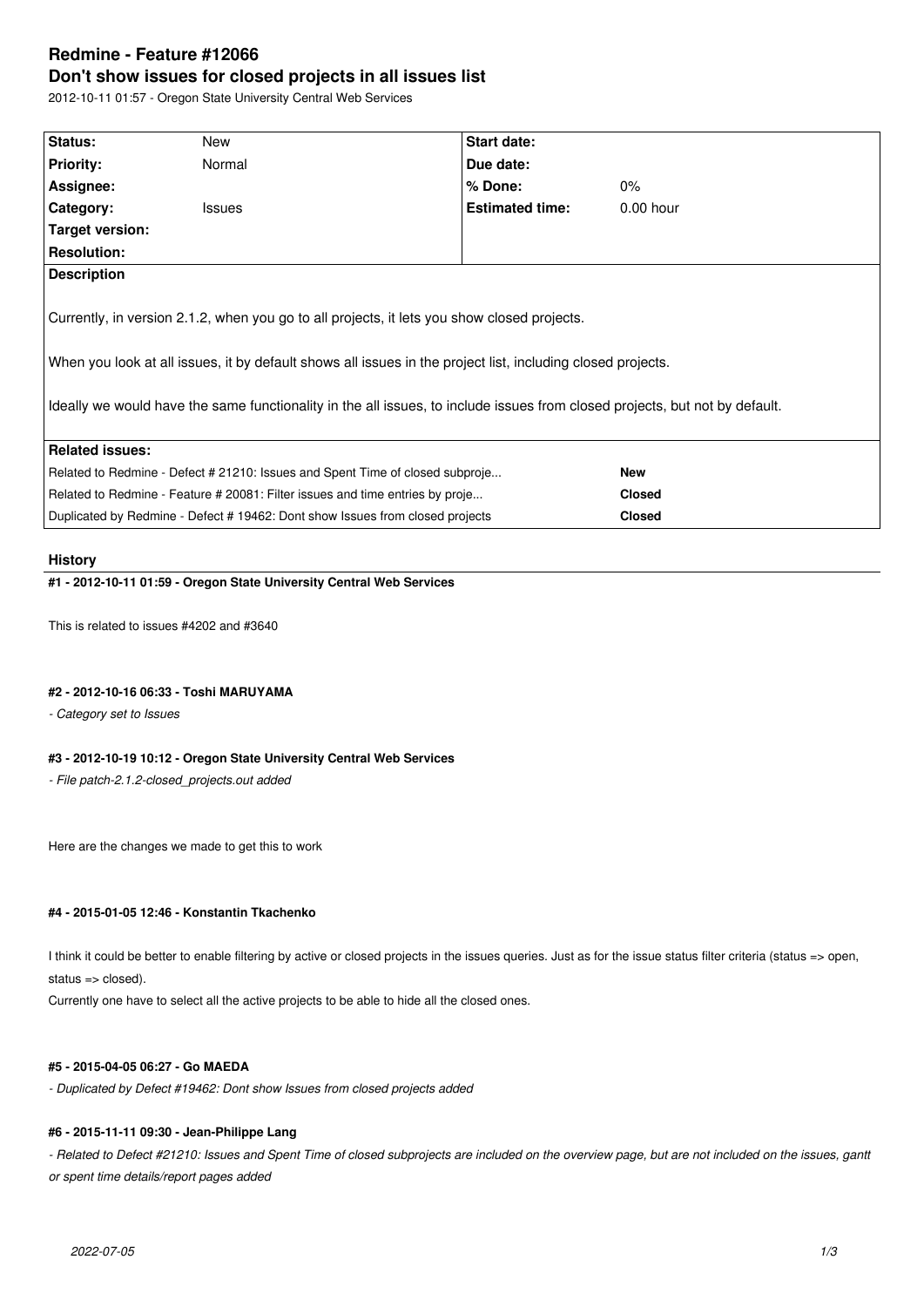# **Redmine - Feature #12066 Don't show issues for closed projects in all issues list**

2012-10-11 01:57 - Oregon State University Central Web Services

| Status:                                                                                                                     | New           |  | Start date:            |               |  |  |  |
|-----------------------------------------------------------------------------------------------------------------------------|---------------|--|------------------------|---------------|--|--|--|
| <b>Priority:</b>                                                                                                            | Normal        |  | Due date:              |               |  |  |  |
| Assignee:                                                                                                                   |               |  | $%$ Done:              | $0\%$         |  |  |  |
| Category:                                                                                                                   | <b>Issues</b> |  | <b>Estimated time:</b> | $0.00$ hour   |  |  |  |
| Target version:                                                                                                             |               |  |                        |               |  |  |  |
| <b>Resolution:</b>                                                                                                          |               |  |                        |               |  |  |  |
| <b>Description</b>                                                                                                          |               |  |                        |               |  |  |  |
|                                                                                                                             |               |  |                        |               |  |  |  |
| Currently, in version 2.1.2, when you go to all projects, it lets you show closed projects.                                 |               |  |                        |               |  |  |  |
|                                                                                                                             |               |  |                        |               |  |  |  |
| When you look at all issues, it by default shows all issues in the project list, including closed projects.                 |               |  |                        |               |  |  |  |
|                                                                                                                             |               |  |                        |               |  |  |  |
| Ideally we would have the same functionality in the all issues, to include issues from closed projects, but not by default. |               |  |                        |               |  |  |  |
|                                                                                                                             |               |  |                        |               |  |  |  |
| <b>Related issues:</b>                                                                                                      |               |  |                        |               |  |  |  |
| Related to Redmine - Defect # 21210: Issues and Spent Time of closed subproje                                               |               |  |                        | <b>New</b>    |  |  |  |
| Related to Redmine - Feature # 20081: Filter issues and time entries by proje                                               |               |  | <b>Closed</b>          |               |  |  |  |
| Duplicated by Redmine - Defect # 19462: Dont show Issues from closed projects                                               |               |  |                        | <b>Closed</b> |  |  |  |

### **History**

### **#1 - 2012-10-11 01:59 - Oregon State University Central Web Services**

This is related to issues #4202 and #3640

#### **#2 - 2012-10-16 06:33 - Toshi MARUYAMA**

*- Category set to Issues*

### **#3 - 2012-10-19 10:12 - Oregon State University Central Web Services**

*- File patch-2.1.2-closed\_projects.out added*

Here are the changes we made to get this to work

# **#4 - 2015-01-05 12:46 - Konstantin Tkachenko**

I think it could be better to enable filtering by active or closed projects in the issues queries. Just as for the issue status filter criteria (status => open, status => closed).

Currently one have to select all the active projects to be able to hide all the closed ones.

### **#5 - 2015-04-05 06:27 - Go MAEDA**

*- Duplicated by Defect #19462: Dont show Issues from closed projects added*

#### **#6 - 2015-11-11 09:30 - Jean-Philippe Lang**

- Related to Defect #21210: Issues and Spent Time of closed subprojects are included on the overview page, but are not included on the issues, gantt *or spent time details/report pages added*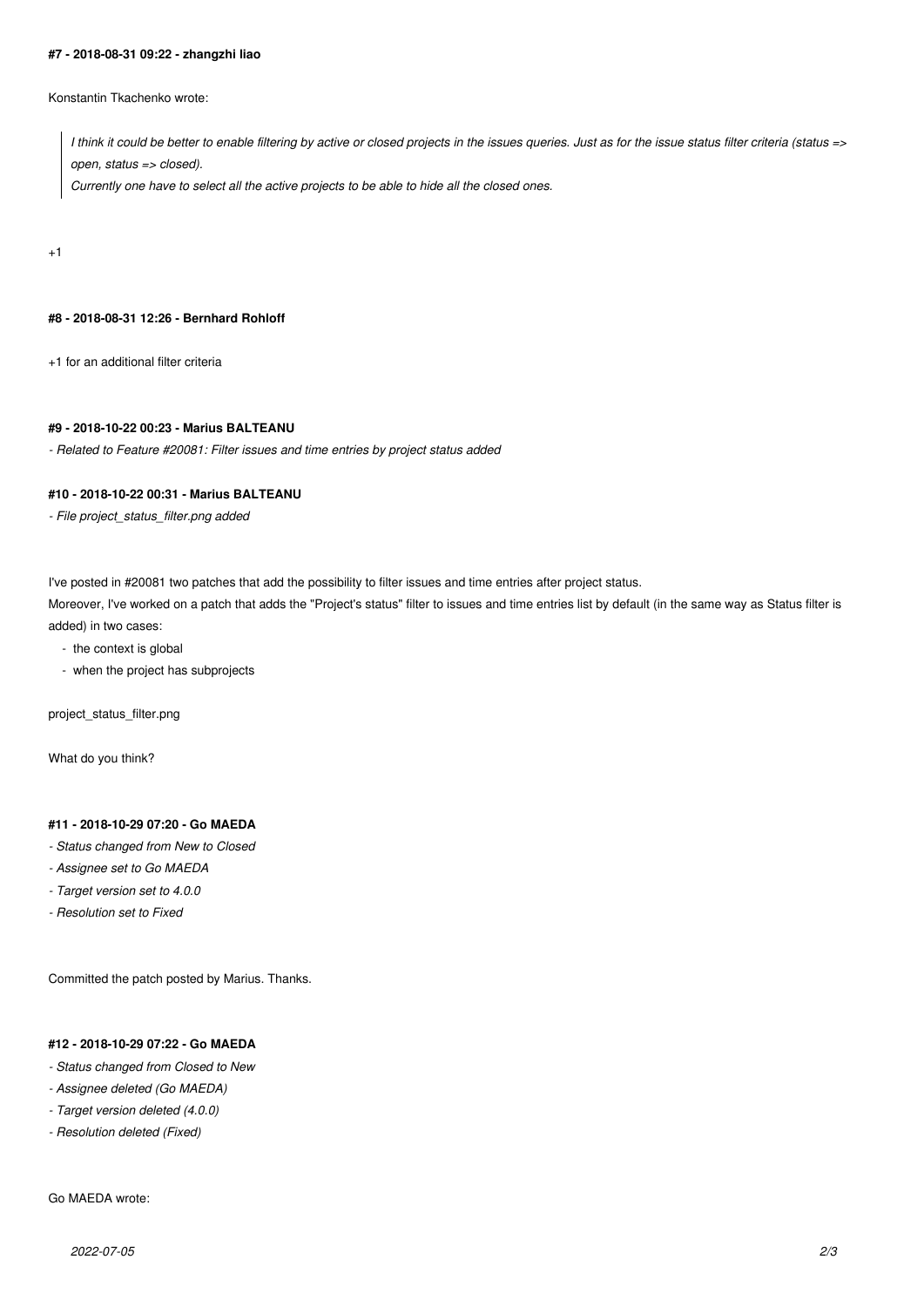#### **#7 - 2018-08-31 09:22 - zhangzhi liao**

Konstantin Tkachenko wrote:

*I think it could be better to enable filtering by active or closed projects in the issues queries. Just as for the issue status filter criteria (status => open, status => closed).*

*Currently one have to select all the active projects to be able to hide all the closed ones.*

+1

#### **#8 - 2018-08-31 12:26 - Bernhard Rohloff**

+1 for an additional filter criteria

#### **#9 - 2018-10-22 00:23 - Marius BALTEANU**

*- Related to Feature #20081: Filter issues and time entries by project status added*

#### **#10 - 2018-10-22 00:31 - Marius BALTEANU**

*- File project\_status\_filter.png added*

I've posted in #20081 two patches that add the possibility to filter issues and time entries after project status.

Moreover, I've worked on a patch that adds the "Project's status" filter to issues and time entries list by default (in the same way as Status filter is added) in two cases:

- the context is global
- when the project has subprojects

project\_status\_filter.png

What do you think?

# **#11 - 2018-10-29 07:20 - Go MAEDA**

- *Status changed from New to Closed*
- *Assignee set to Go MAEDA*
- *Target version set to 4.0.0*
- *Resolution set to Fixed*

Committed the patch posted by Marius. Thanks.

# **#12 - 2018-10-29 07:22 - Go MAEDA**

- *Status changed from Closed to New*
- *Assignee deleted (Go MAEDA)*
- *Target version deleted (4.0.0)*
- *Resolution deleted (Fixed)*

### Go MAEDA wrote: